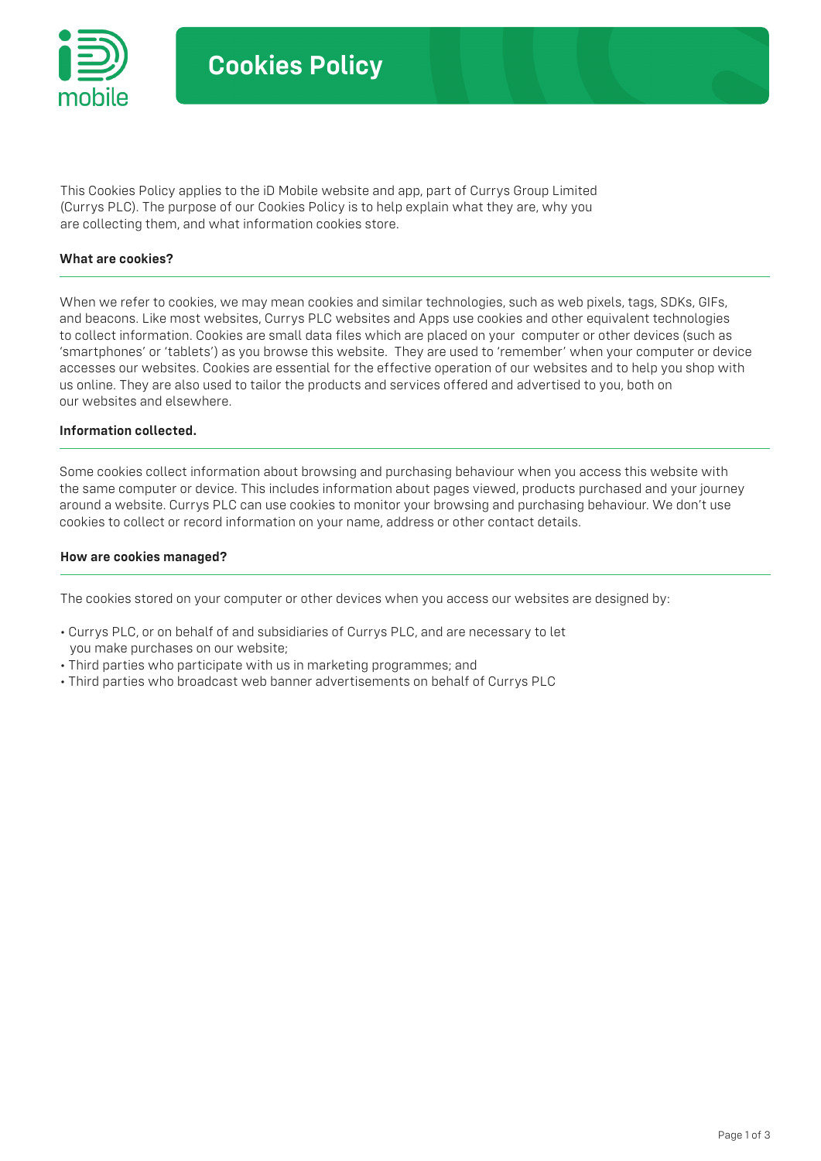

This Cookies Policy applies to the iD Mobile website and app, part of Currys Group Limited (Currys PLC). The purpose of our Cookies Policy is to help explain what they are, why you are collecting them, and what information cookies store.

### What are cookies?

When we refer to cookies, we may mean cookies and similar technologies, such as web pixels, tags, SDKs, GIFs, and beacons. Like most websites, Currys PLC websites and Apps use cookies and other equivalent technologies to collect information. Cookies are small data files which are placed on your computer or other devices (such as 'smartphones' or 'tablets') as you browse this website. They are used to 'remember' when your computer or device accesses our websites. Cookies are essential for the effective operation of our websites and to help you shop with us online. They are also used to tailor the products and services offered and advertised to you, both on our websites and elsewhere.

# Information collected.

Some cookies collect information about browsing and purchasing behaviour when you access this website with the same computer or device. This includes information about pages viewed, products purchased and your journey around a website. Currys PLC can use cookies to monitor your browsing and purchasing behaviour. We don't use cookies to collect or record information on your name, address or other contact details.

### How are cookies managed?

The cookies stored on your computer or other devices when you access our websites are designed by:

- Currys PLC, or on behalf of and subsidiaries of Currys PLC, and are necessary to let you make purchases on our website;
- Third parties who participate with us in marketing programmes; and
- Third parties who broadcast web banner advertisements on behalf of Currys PLC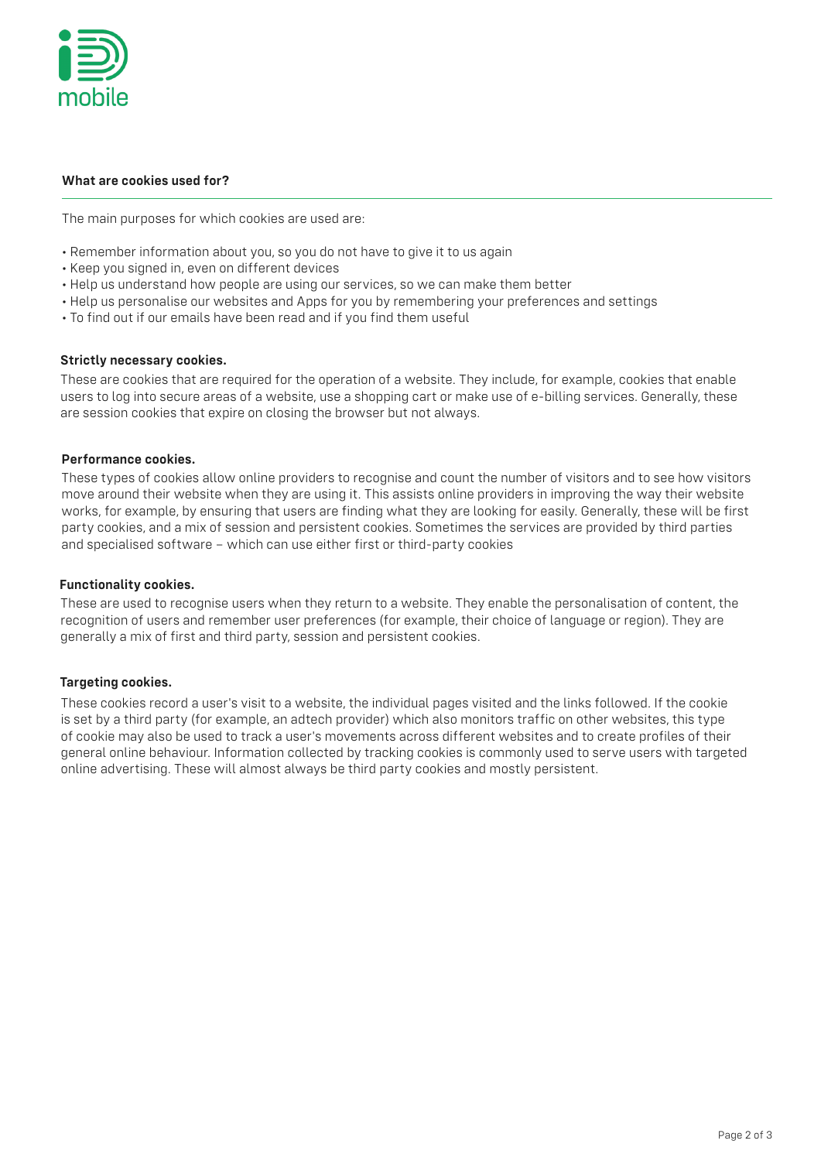

# What are cookies used for?

The main purposes for which cookies are used are:

- Remember information about you, so you do not have to give it to us again
- Keep you signed in, even on different devices
- Help us understand how people are using our services, so we can make them better
- Help us personalise our websites and Apps for you by remembering your preferences and settings
- To find out if our emails have been read and if you find them useful

# Strictly necessary cookies.

These are cookies that are required for the operation of a website. They include, for example, cookies that enable users to log into secure areas of a website, use a shopping cart or make use of e-billing services. Generally, these are session cookies that expire on closing the browser but not always.

# Performance cookies.

These types of cookies allow online providers to recognise and count the number of visitors and to see how visitors move around their website when they are using it. This assists online providers in improving the way their website works, for example, by ensuring that users are finding what they are looking for easily. Generally, these will be first party cookies, and a mix of session and persistent cookies. Sometimes the services are provided by third parties and specialised software – which can use either first or third-party cookies

# Functionality cookies.

These are used to recognise users when they return to a website. They enable the personalisation of content, the recognition of users and remember user preferences (for example, their choice of language or region). They are generally a mix of first and third party, session and persistent cookies.

# Targeting cookies.

These cookies record a user's visit to a website, the individual pages visited and the links followed. If the cookie is set by a third party (for example, an adtech provider) which also monitors traffic on other websites, this type of cookie may also be used to track a user's movements across different websites and to create profiles of their general online behaviour. Information collected by tracking cookies is commonly used to serve users with targeted online advertising. These will almost always be third party cookies and mostly persistent.